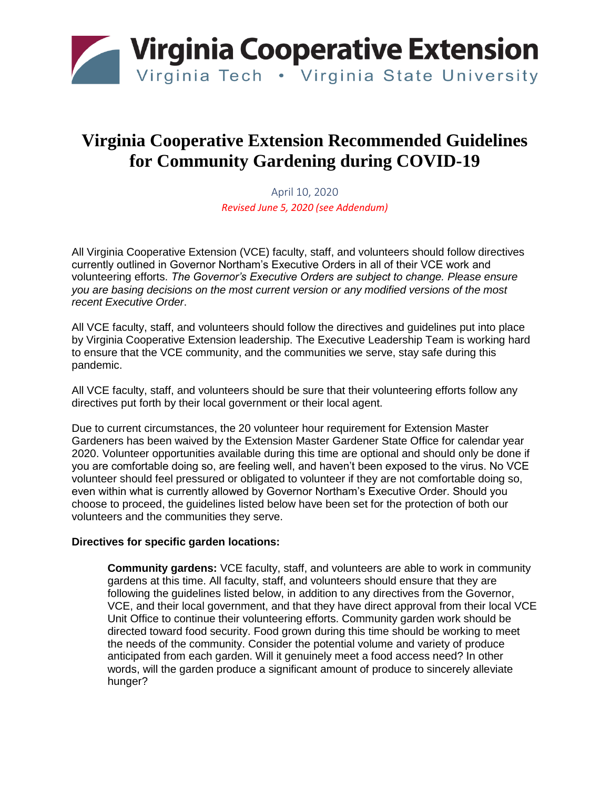

# **Virginia Cooperative Extension Recommended Guidelines for Community Gardening during COVID-19**

April 10, 2020 *Revised June 5, 2020 (see Addendum)*

All Virginia Cooperative Extension (VCE) faculty, staff, and volunteers should follow directives currently outlined in Governor Northam's Executive Orders in all of their VCE work and volunteering efforts. *The Governor's Executive Orders are subject to change. Please ensure you are basing decisions on the most current version or any modified versions of the most recent Executive Order*.

All VCE faculty, staff, and volunteers should follow the directives and guidelines put into place by Virginia Cooperative Extension leadership. The Executive Leadership Team is working hard to ensure that the VCE community, and the communities we serve, stay safe during this pandemic.

All VCE faculty, staff, and volunteers should be sure that their volunteering efforts follow any directives put forth by their local government or their local agent.

Due to current circumstances, the 20 volunteer hour requirement for Extension Master Gardeners has been waived by the Extension Master Gardener State Office for calendar year 2020. Volunteer opportunities available during this time are optional and should only be done if you are comfortable doing so, are feeling well, and haven't been exposed to the virus. No VCE volunteer should feel pressured or obligated to volunteer if they are not comfortable doing so, even within what is currently allowed by Governor Northam's Executive Order. Should you choose to proceed, the guidelines listed below have been set for the protection of both our volunteers and the communities they serve.

### **Directives for specific garden locations:**

**Community gardens:** VCE faculty, staff, and volunteers are able to work in community gardens at this time. All faculty, staff, and volunteers should ensure that they are following the guidelines listed below, in addition to any directives from the Governor, VCE, and their local government, and that they have direct approval from their local VCE Unit Office to continue their volunteering efforts. Community garden work should be directed toward food security. Food grown during this time should be working to meet the needs of the community. Consider the potential volume and variety of produce anticipated from each garden. Will it genuinely meet a food access need? In other words, will the garden produce a significant amount of produce to sincerely alleviate hunger?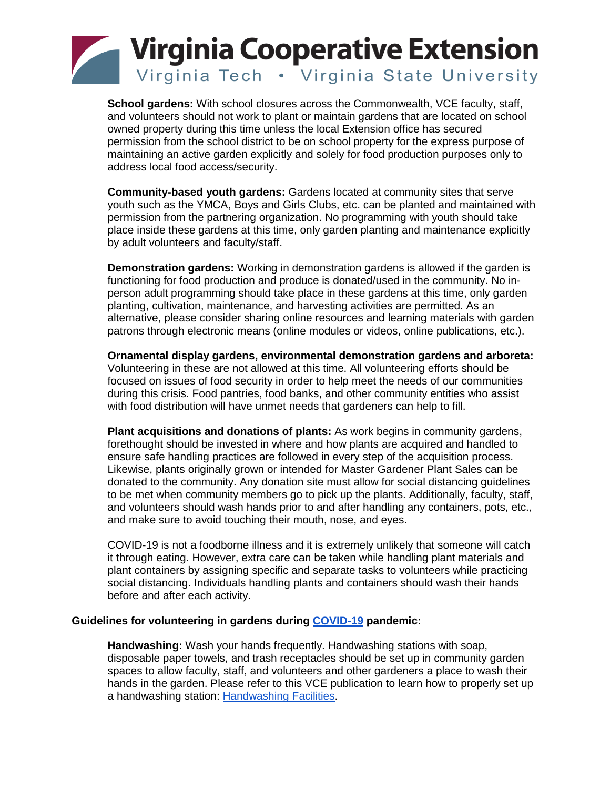

**School gardens:** With school closures across the Commonwealth, VCE faculty, staff, and volunteers should not work to plant or maintain gardens that are located on school owned property during this time unless the local Extension office has secured permission from the school district to be on school property for the express purpose of maintaining an active garden explicitly and solely for food production purposes only to address local food access/security.

**Community-based youth gardens:** Gardens located at community sites that serve youth such as the YMCA, Boys and Girls Clubs, etc. can be planted and maintained with permission from the partnering organization. No programming with youth should take place inside these gardens at this time, only garden planting and maintenance explicitly by adult volunteers and faculty/staff.

**Demonstration gardens:** Working in demonstration gardens is allowed if the garden is functioning for food production and produce is donated/used in the community. No inperson adult programming should take place in these gardens at this time, only garden planting, cultivation, maintenance, and harvesting activities are permitted. As an alternative, please consider sharing online resources and learning materials with garden patrons through electronic means (online modules or videos, online publications, etc.).

**Ornamental display gardens, environmental demonstration gardens and arboreta:** Volunteering in these are not allowed at this time. All volunteering efforts should be focused on issues of food security in order to help meet the needs of our communities during this crisis. Food pantries, food banks, and other community entities who assist with food distribution will have unmet needs that gardeners can help to fill.

**Plant acquisitions and donations of plants:** As work begins in community gardens, forethought should be invested in where and how plants are acquired and handled to ensure safe handling practices are followed in every step of the acquisition process. Likewise, plants originally grown or intended for Master Gardener Plant Sales can be donated to the community. Any donation site must allow for social distancing guidelines to be met when community members go to pick up the plants. Additionally, faculty, staff, and volunteers should wash hands prior to and after handling any containers, pots, etc., and make sure to avoid touching their mouth, nose, and eyes.

COVID-19 is not a foodborne illness and it is extremely unlikely that someone will catch it through eating. However, extra care can be taken while handling plant materials and plant containers by assigning specific and separate tasks to volunteers while practicing social distancing. Individuals handling plants and containers should wash their hands before and after each activity.

### **Guidelines for volunteering in gardens during [COVID-19](https://ext.vt.edu/covid-19updates/resources.html) pandemic:**

**Handwashing:** Wash your hands frequently. Handwashing stations with soap, disposable paper towels, and trash receptacles should be set up in community garden spaces to allow faculty, staff, and volunteers and other gardeners a place to wash their hands in the garden. Please refer to this VCE publication to learn how to properly set up a handwashing station: [Handwashing Facilities.](https://www.pubs.ext.vt.edu/content/dam/pubs_ext_vt_edu/FST/FST-41/FST-338.pdf)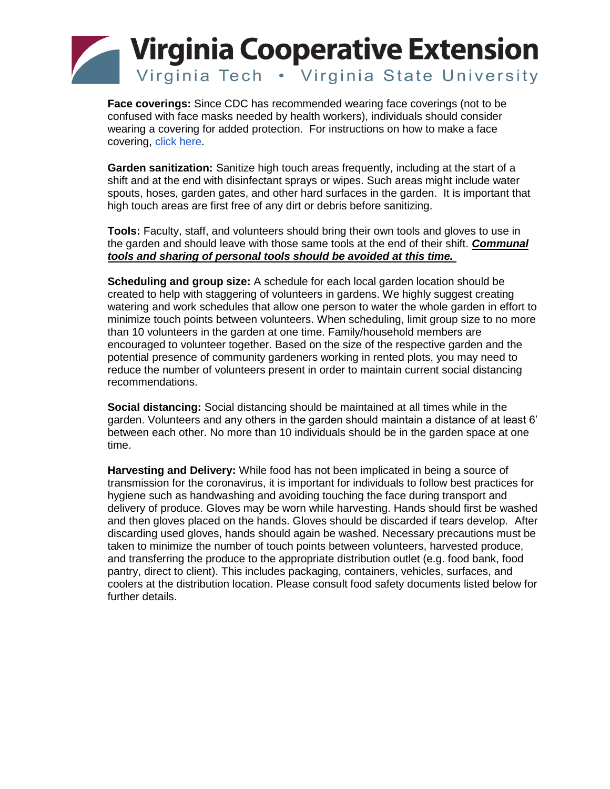

**Face coverings:** Since CDC has recommended wearing face coverings (not to be confused with face masks needed by health workers), individuals should consider wearing a covering for added protection. For instructions on how to make a face covering, [click here.](https://www.cdc.gov/coronavirus/2019-ncov/prevent-getting-sick/diy-cloth-face-coverings.html)

**Garden sanitization:** Sanitize high touch areas frequently, including at the start of a shift and at the end with disinfectant sprays or wipes. Such areas might include water spouts, hoses, garden gates, and other hard surfaces in the garden. It is important that high touch areas are first free of any dirt or debris before sanitizing.

**Tools:** Faculty, staff, and volunteers should bring their own tools and gloves to use in the garden and should leave with those same tools at the end of their shift. *Communal tools and sharing of personal tools should be avoided at this time.*

**Scheduling and group size:** A schedule for each local garden location should be created to help with staggering of volunteers in gardens. We highly suggest creating watering and work schedules that allow one person to water the whole garden in effort to minimize touch points between volunteers. When scheduling, limit group size to no more than 10 volunteers in the garden at one time. Family/household members are encouraged to volunteer together. Based on the size of the respective garden and the potential presence of community gardeners working in rented plots, you may need to reduce the number of volunteers present in order to maintain current social distancing recommendations.

**Social distancing:** Social distancing should be maintained at all times while in the garden. Volunteers and any others in the garden should maintain a distance of at least 6' between each other. No more than 10 individuals should be in the garden space at one time.

**Harvesting and Delivery:** While food has not been implicated in being a source of transmission for the coronavirus, it is important for individuals to follow best practices for hygiene such as handwashing and avoiding touching the face during transport and delivery of produce. Gloves may be worn while harvesting. Hands should first be washed and then gloves placed on the hands. Gloves should be discarded if tears develop. After discarding used gloves, hands should again be washed. Necessary precautions must be taken to minimize the number of touch points between volunteers, harvested produce, and transferring the produce to the appropriate distribution outlet (e.g. food bank, food pantry, direct to client). This includes packaging, containers, vehicles, surfaces, and coolers at the distribution location. Please consult food safety documents listed below for further details.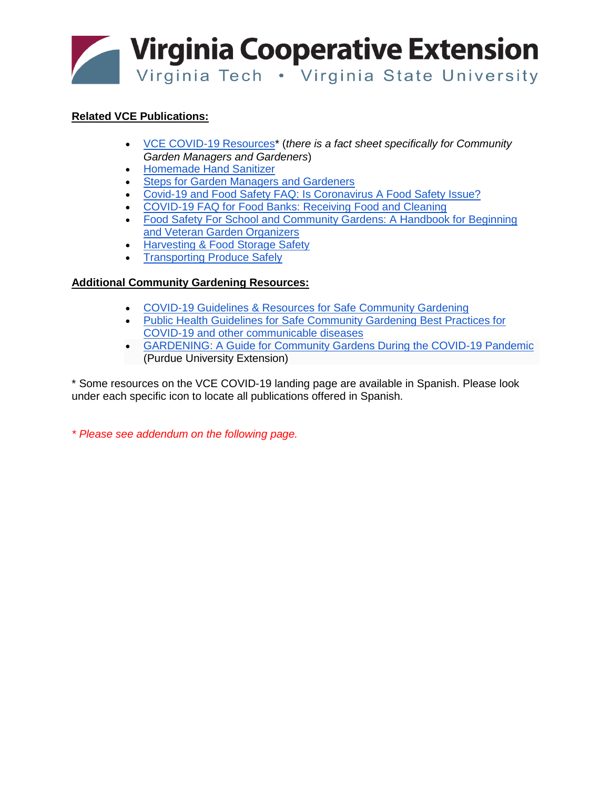

## **Related VCE Publications:**

- [VCE COVID-19 Resources\\*](https://ext.vt.edu/covid-19updates/resources.html) (*there is a fact sheet specifically for Community Garden Managers and Gardeners*)
- [Homemade Hand Sanitizer](https://www.pubs.ext.vt.edu/FST/FST-368/FST-368-4C.html)
- [Steps for Garden Managers and Gardeners](https://www.pubs.ext.vt.edu/FST/FST-368/FST-368-16.html)
- [Covid-19 and Food Safety FAQ: Is Coronavirus A Food Safety Issue?](https://www.pubs.ext.vt.edu/FST/FST-368/FST-368-15.html)
- [COVID-19 FAQ for Food Banks: Receiving Food and Cleaning](https://www.pubs.ext.vt.edu/FST/FST-368/FST-368-11.html)
- [Food Safety For School and Community Gardens: A Handbook for Beginning](https://www.pubs.ext.vt.edu/FST/FST-60/FST-60.html)  [and Veteran Garden Organizers](https://www.pubs.ext.vt.edu/FST/FST-60/FST-60.html)
- [Harvesting & Food Storage Safety](https://www.pubs.ext.vt.edu/FST/FST-42/FST-42NP.html)
- **[Transporting Produce Safely](https://www.pubs.ext.vt.edu/FST/FST-43/FST-43NP.html)**

## **Additional Community Gardening Resources:**

- [COVID-19 Guidelines & Resources for Safe](https://vcgn.org/wp-content/uploads/2020/03/Gardening-COVID-Flyer-PrintQuality3.pdf) Community Gardening
- Public Health Guidelines for Safe Community Gardening Best Practices for [COVID-19 and other communicable diseases](https://docs.google.com/document/d/1_cd8KCsO_V9kKjDvZYPXvhFdqWBTobReBnw2TiNV4bE/edit)
- [GARDENING: A Guide for Community Gardens During the COVID-19 Pandemic](https://extension.purdue.edu/article/36666) (Purdue University Extension)

\* Some resources on the VCE COVID-19 landing page are available in Spanish. Please look under each specific icon to locate all publications offered in Spanish.

*\* Please see addendum on the following page.*